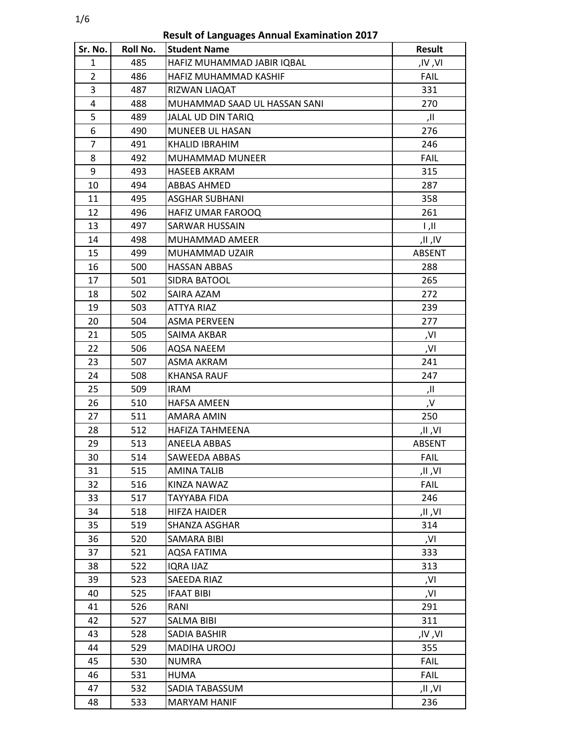1/6

**Result of Languages Annual Examination 2017**

| Sr. No.        | Roll No. | <b>Student Name</b>          | <b>Result</b>             |
|----------------|----------|------------------------------|---------------------------|
| 1              | 485      | HAFIZ MUHAMMAD JABIR IQBAL   | ,IV,VI                    |
| $\overline{2}$ | 486      | HAFIZ MUHAMMAD KASHIF        | <b>FAIL</b>               |
| 3              | 487      | RIZWAN LIAQAT                | 331                       |
| 4              | 488      | MUHAMMAD SAAD UL HASSAN SANI | 270                       |
| 5              | 489      | JALAL UD DIN TARIQ           | اا,                       |
| 6              | 490      | MUNEEB UL HASAN              | 276                       |
| $\overline{7}$ | 491      | <b>KHALID IBRAHIM</b>        | 246                       |
| 8              | 492      | <b>MUHAMMAD MUNEER</b>       | <b>FAIL</b>               |
| 9              | 493      | HASEEB AKRAM                 | 315                       |
| 10             | 494      | ABBAS AHMED                  | 287                       |
| 11             | 495      | <b>ASGHAR SUBHANI</b>        | 358                       |
| 12             | 496      | HAFIZ UMAR FAROOQ            | 261                       |
| 13             | 497      | SARWAR HUSSAIN               | $\parallel$ , $\parallel$ |
| 14             | 498      | MUHAMMAD AMEER               | ۱۷, ۱۱,                   |
| 15             | 499      | MUHAMMAD UZAIR               | ABSENT                    |
| 16             | 500      | <b>HASSAN ABBAS</b>          | 288                       |
| 17             | 501      | SIDRA BATOOL                 | 265                       |
| 18             | 502      | SAIRA AZAM                   | 272                       |
| 19             | 503      | ATTYA RIAZ                   | 239                       |
| 20             | 504      | <b>ASMA PERVEEN</b>          | 277                       |
| 21             | 505      | SAIMA AKBAR                  | ,۷I                       |
| 22             | 506      | AQSA NAEEM                   | ,VI                       |
| 23             | 507      | <b>ASMA AKRAM</b>            | 241                       |
| 24             | 508      | KHANSA RAUF                  | 247                       |
| 25             | 509      | <b>IRAM</b>                  | اا,                       |
| 26             | 510      | <b>HAFSA AMEEN</b>           | ٫۷                        |
| 27             | 511      | AMARA AMIN                   | 250                       |
| 28             | 512      | HAFIZA TAHMEENA              | .IV, II,                  |
| 29             | 513      | ANEELA ABBAS                 | <b>ABSENT</b>             |
| 30             | 514      | SAWEEDA ABBAS                | <b>FAIL</b>               |
| 31             | 515      | <b>AMINA TALIB</b>           | JI ,VI,                   |
| 32             | 516      | KINZA NAWAZ                  | <b>FAIL</b>               |
| 33             | 517      | TAYYABA FIDA                 | 246                       |
| 34             | 518      | HIFZA HAIDER                 | ۷۱, اا,                   |
| 35             | 519      | SHANZA ASGHAR                | 314                       |
| 36             | 520      | SAMARA BIBI                  | ,VI                       |
| 37             | 521      | AQSA FATIMA                  | 333                       |
| 38             | 522      | IQRA IJAZ                    | 313                       |
| 39             | 523      | SAEEDA RIAZ                  | ,VI                       |
| 40             | 525      | <b>IFAAT BIBI</b>            | ,VI                       |
| 41             | 526      | RANI                         | 291                       |
| 42             | 527      | SALMA BIBI                   | 311                       |
| 43             | 528      | SADIA BASHIR                 | .IV , VI                  |
| 44             | 529      | MADIHA UROOJ                 | 355                       |
| 45             | 530      | <b>NUMRA</b>                 | <b>FAIL</b>               |
| 46             | 531      | HUMA                         | <b>FAIL</b>               |
| 47             | 532      | SADIA TABASSUM               | .IV, II,                  |
| 48             | 533      | <b>MARYAM HANIF</b>          | 236                       |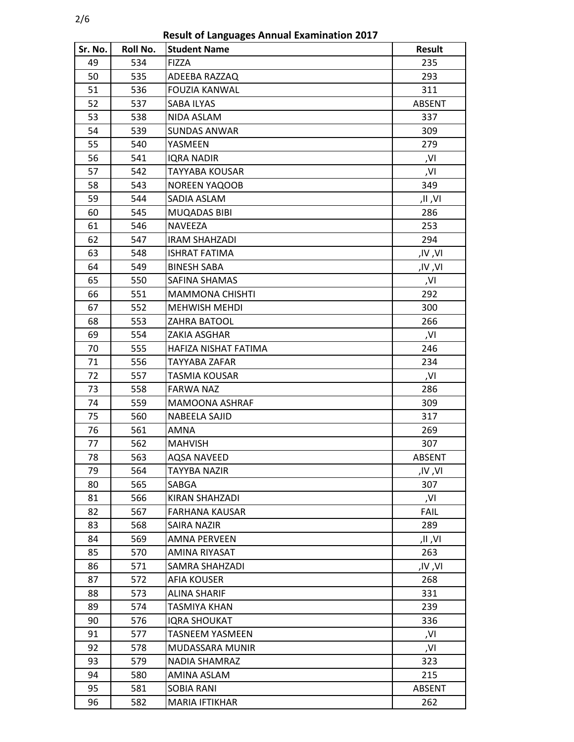**Result of Languages Annual Examination 2017**

| Sr. No. | Roll No. | <b>Student Name</b>    | Result        |
|---------|----------|------------------------|---------------|
| 49      | 534      | <b>FIZZA</b>           | 235           |
| 50      | 535      | ADEEBA RAZZAQ          | 293           |
| 51      | 536      | <b>FOUZIA KANWAL</b>   | 311           |
| 52      | 537      | SABA ILYAS             | ABSENT        |
| 53      | 538      | NIDA ASLAM             | 337           |
| 54      | 539      | <b>SUNDAS ANWAR</b>    | 309           |
| 55      | 540      | YASMEEN                | 279           |
| 56      | 541      | <b>IQRA NADIR</b>      | ,VI           |
| 57      | 542      | <b>TAYYABA KOUSAR</b>  | ,VI           |
| 58      | 543      | <b>NOREEN YAQOOB</b>   | 349           |
| 59      | 544      | SADIA ASLAM            | ۷۱, اا,       |
| 60      | 545      | MUQADAS BIBI           | 286           |
| 61      | 546      | <b>NAVEEZA</b>         | 253           |
| 62      | 547      | <b>IRAM SHAHZADI</b>   | 294           |
| 63      | 548      | ISHRAT FATIMA          | ,IV ,VI       |
| 64      | 549      | <b>BINESH SABA</b>     | ,IV ,VI       |
| 65      | 550      | SAFINA SHAMAS          | ,VI           |
| 66      | 551      | <b>MAMMONA CHISHTI</b> | 292           |
| 67      | 552      | <b>MEHWISH MEHDI</b>   | 300           |
| 68      | 553      | ZAHRA BATOOL           | 266           |
| 69      | 554      | ZAKIA ASGHAR           | ,VI           |
| 70      | 555      | HAFIZA NISHAT FATIMA   | 246           |
| 71      | 556      | TAYYABA ZAFAR          | 234           |
| 72      | 557      | TASMIA KOUSAR          | ,VI           |
| 73      | 558      | <b>FARWA NAZ</b>       | 286           |
| 74      | 559      | MAMOONA ASHRAF         | 309           |
| 75      | 560      | NABEELA SAJID          | 317           |
| 76      | 561      | AMNA                   | 269           |
| 77      | 562      | <b>MAHVISH</b>         | 307           |
| 78      | 563      | <b>AQSA NAVEED</b>     | <b>ABSENT</b> |
| 79      | 564      | TAYYBA NAZIR           | ,IV,VI        |
| 80      | 565      | SABGA                  | 307           |
| 81      | 566      | KIRAN SHAHZADI         | ,VI           |
| 82      | 567      | FARHANA KAUSAR         | FAIL          |
| 83      | 568      | <b>SAIRA NAZIR</b>     | 289           |
| 84      | 569      | <b>AMNA PERVEEN</b>    | .IV, II,      |
| 85      | 570      | AMINA RIYASAT          | 263           |
| 86      | 571      | SAMRA SHAHZADI         | ,IV ,VI       |
| 87      | 572      | <b>AFIA KOUSER</b>     | 268           |
| 88      | 573      | ALINA SHARIF           | 331           |
| 89      | 574      | TASMIYA KHAN           | 239           |
| 90      | 576      | <b>IQRA SHOUKAT</b>    | 336           |
| 91      | 577      | <b>TASNEEM YASMEEN</b> | ,VI           |
| 92      | 578      | MUDASSARA MUNIR        | ,VI           |
| 93      | 579      | NADIA SHAMRAZ          | 323           |
| 94      | 580      | AMINA ASLAM            | 215           |
| 95      | 581      | SOBIA RANI             | <b>ABSENT</b> |
| 96      | 582      | MARIA IFTIKHAR         | 262           |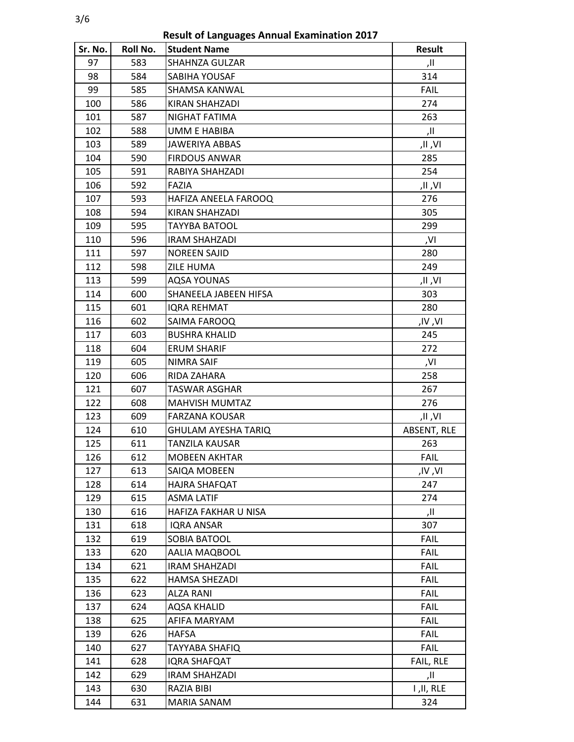3/6

**Result of Languages Annual Examination 2017**

| Sr. No. | Roll No. | <b>Student Name</b>   | <b>Result</b> |
|---------|----------|-----------------------|---------------|
| 97      | 583      | <b>SHAHNZA GULZAR</b> | اا,           |
| 98      | 584      | SABIHA YOUSAF         | 314           |
| 99      | 585      | SHAMSA KANWAL         | <b>FAIL</b>   |
| 100     | 586      | KIRAN SHAHZADI        | 274           |
| 101     | 587      | NIGHAT FATIMA         | 263           |
| 102     | 588      | <b>UMM E HABIBA</b>   | اا,           |
| 103     | 589      | JAWERIYA ABBAS        | ۷۱, ۱۱,       |
| 104     | 590      | <b>FIRDOUS ANWAR</b>  | 285           |
| 105     | 591      | RABIYA SHAHZADI       | 254           |
| 106     | 592      | FAZIA                 | .IV, اا,      |
| 107     | 593      | HAFIZA ANEELA FAROOQ  | 276           |
| 108     | 594      | KIRAN SHAHZADI        | 305           |
| 109     | 595      | <b>TAYYBA BATOOL</b>  | 299           |
| 110     | 596      | <b>IRAM SHAHZADI</b>  | ,VI           |
| 111     | 597      | <b>NOREEN SAJID</b>   | 280           |
| 112     | 598      | ZILE HUMA             | 249           |
| 113     | 599      | <b>AQSA YOUNAS</b>    | .IV, اا,      |
| 114     | 600      | SHANEELA JABEEN HIFSA | 303           |
| 115     | 601      | IQRA REHMAT           | 280           |
| 116     | 602      | SAIMA FAROOQ          | ,IV ,VI       |
| 117     | 603      | <b>BUSHRA KHALID</b>  | 245           |
| 118     | 604      | <b>ERUM SHARIF</b>    | 272           |
| 119     | 605      | NIMRA SAIF            | ,VI           |
| 120     | 606      | RIDA ZAHARA           | 258           |
| 121     | 607      | <b>TASWAR ASGHAR</b>  | 267           |
| 122     | 608      | MAHVISH MUMTAZ        | 276           |
| 123     | 609      | <b>FARZANA KOUSAR</b> | .IV, II,      |
| 124     | 610      | GHULAM AYESHA TARIQ   | ABSENT, RLE   |
| 125     | 611      | TANZILA KAUSAR        | 263           |
| 126     | 612      | <b>MOBEEN AKHTAR</b>  | <b>FAIL</b>   |
| 127     | 613      | SAIQA MOBEEN          | ٫IV ,VI       |
| 128     | 614      | HAJRA SHAFQAT         | 247           |
| 129     | 615      | <b>ASMA LATIF</b>     | 274           |
| 130     | 616      | HAFIZA FAKHAR U NISA  | اا,           |
| 131     | 618      | IQRA ANSAR            | 307           |
| 132     | 619      | SOBIA BATOOL          | <b>FAIL</b>   |
| 133     | 620      | AALIA MAQBOOL         | <b>FAIL</b>   |
| 134     | 621      | IRAM SHAHZADI         | <b>FAIL</b>   |
| 135     | 622      | <b>HAMSA SHEZADI</b>  | <b>FAIL</b>   |
| 136     | 623      | ALZA RANI             | <b>FAIL</b>   |
| 137     | 624      | <b>AQSA KHALID</b>    | <b>FAIL</b>   |
| 138     | 625      | AFIFA MARYAM          | <b>FAIL</b>   |
| 139     | 626      | HAFSA                 | <b>FAIL</b>   |
| 140     | 627      | TAYYABA SHAFIQ        | <b>FAIL</b>   |
| 141     | 628      | IQRA SHAFQAT          | FAIL, RLE     |
| 142     | 629      | <b>IRAM SHAHZADI</b>  | اا,           |
| 143     | 630      | RAZIA BIBI            | I, II, RLE    |
| 144     | 631      | MARIA SANAM           | 324           |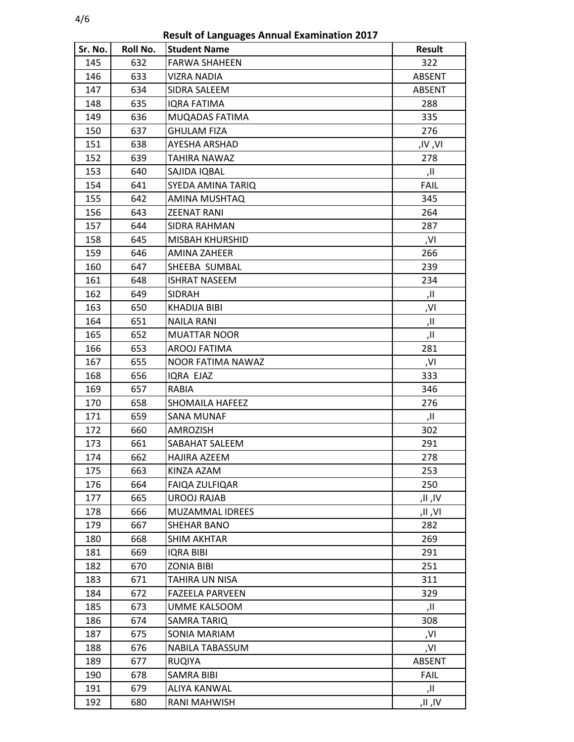4/6

**Result of Languages Annual Examination 2017**

| Sr. No. | Roll No. | <b>Student Name</b>    | <b>Result</b> |
|---------|----------|------------------------|---------------|
| 145     | 632      | <b>FARWA SHAHEEN</b>   | 322           |
| 146     | 633      | VIZRA NADIA            | ABSENT        |
| 147     | 634      | SIDRA SALEEM           | ABSENT        |
| 148     | 635      | IQRA FATIMA            | 288           |
| 149     | 636      | MUQADAS FATIMA         | 335           |
| 150     | 637      | <b>GHULAM FIZA</b>     | 276           |
| 151     | 638      | AYESHA ARSHAD          | ,IV ,VI       |
| 152     | 639      | <b>TAHIRA NAWAZ</b>    | 278           |
| 153     | 640      | SAJIDA IQBAL           | اا,           |
| 154     | 641      | SYEDA AMINA TARIQ      | <b>FAIL</b>   |
| 155     | 642      | AMINA MUSHTAQ          | 345           |
| 156     | 643      | <b>ZEENAT RANI</b>     | 264           |
| 157     | 644      | SIDRA RAHMAN           | 287           |
| 158     | 645      | MISBAH KHURSHID        | ,VI           |
| 159     | 646      | AMINA ZAHEER           | 266           |
| 160     | 647      | SHEEBA SUMBAL          | 239           |
| 161     | 648      | <b>ISHRAT NASEEM</b>   | 234           |
| 162     | 649      | <b>SIDRAH</b>          | اا,           |
| 163     | 650      | KHADIJA BIBI           | ,VI           |
| 164     | 651      | <b>NAILA RANI</b>      | اا,           |
| 165     | 652      | <b>MUATTAR NOOR</b>    | اا,           |
| 166     | 653      | AROOJ FATIMA           | 281           |
| 167     | 655      | NOOR FATIMA NAWAZ      | ,VI           |
| 168     | 656      | IQRA EJAZ              | 333           |
| 169     | 657      | RABIA                  | 346           |
| 170     | 658      | SHOMAILA HAFEEZ        | 276           |
| 171     | 659      | <b>SANA MUNAF</b>      | اا,           |
| 172     | 660      | AMROZISH               | 302           |
| 173     | 661      | SABAHAT SALEEM         | 291           |
| 174     | 662      | <b>HAJIRA AZEEM</b>    | 278           |
| 175     | 663      | KINZA AZAM             | 253           |
| 176     | 664      | FAIQA ZULFIQAR         | 250           |
| 177     | 665      | <b>UROOJ RAJAB</b>     | ۱۷, ۱۱,       |
| 178     | 666      | MUZAMMAL IDREES        | ۷۱, اا,       |
| 179     | 667      | SHEHAR BANO            | 282           |
| 180     | 668      | <b>SHIM AKHTAR</b>     | 269           |
| 181     | 669      | <b>IQRA BIBI</b>       | 291           |
| 182     | 670      | <b>ZONIA BIBI</b>      | 251           |
| 183     | 671      | TAHIRA UN NISA         | 311           |
| 184     | 672      | <b>FAZEELA PARVEEN</b> | 329           |
| 185     | 673      | UMME KALSOOM           | اا,           |
| 186     | 674      | SAMRA TARIQ            | 308           |
| 187     | 675      | SONIA MARIAM           | ,VI           |
| 188     | 676      | NABILA TABASSUM        | ,VI           |
| 189     | 677      | <b>RUQIYA</b>          | <b>ABSENT</b> |
| 190     | 678      | <b>SAMRA BIBI</b>      | <b>FAIL</b>   |
| 191     | 679      | <b>ALIYA KANWAL</b>    | اا,           |
| 192     | 680      | RANI MAHWISH           | ۱۷, ۱۱,       |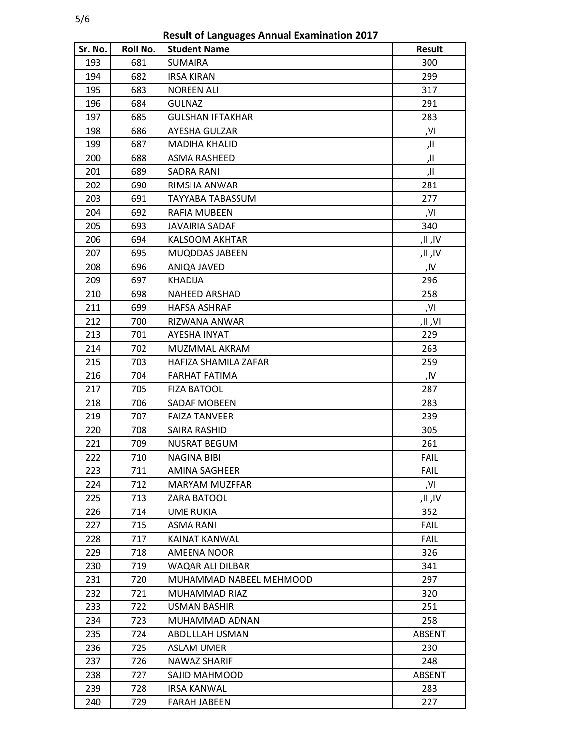**Result of Languages Annual Examination 2017**

| Sr. No. | Roll No. | <b>Student Name</b>     | Result      |
|---------|----------|-------------------------|-------------|
| 193     | 681      | <b>SUMAIRA</b>          | 300         |
| 194     | 682      | <b>IRSA KIRAN</b>       | 299         |
| 195     | 683      | <b>NOREEN ALI</b>       | 317         |
| 196     | 684      | <b>GULNAZ</b>           | 291         |
| 197     | 685      | GULSHAN IFTAKHAR        | 283         |
| 198     | 686      | AYESHA GULZAR           | ,VI         |
| 199     | 687      | MADIHA KHALID           | اا,         |
| 200     | 688      | ASMA RASHEED            | ۱۱,         |
| 201     | 689      | SADRA RANI              | اا,         |
| 202     | 690      | RIMSHA ANWAR            | 281         |
| 203     | 691      | TAYYABA TABASSUM        | 277         |
| 204     | 692      | RAFIA MUBEEN            | ,VI         |
| 205     | 693      | JAVAIRIA SADAF          | 340         |
| 206     | 694      | <b>KALSOOM AKHTAR</b>   | ۱۷, ۱۱,     |
| 207     | 695      | MUQDDAS JABEEN          | ۱۷, ۱۱,     |
| 208     | 696      | ANIQA JAVED             | ,IV         |
| 209     | 697      | <b>KHADIJA</b>          | 296         |
| 210     | 698      | NAHEED ARSHAD           | 258         |
| 211     | 699      | HAFSA ASHRAF            | ,VI         |
| 212     | 700      | RIZWANA ANWAR           | ۷۱, اا,     |
| 213     | 701      | AYESHA INYAT            | 229         |
| 214     | 702      | MUZMMAL AKRAM           | 263         |
| 215     | 703      | HAFIZA SHAMILA ZAFAR    | 259         |
| 216     | 704      | FARHAT FATIMA           | ,IV         |
| 217     | 705      | <b>FIZA BATOOL</b>      | 287         |
| 218     | 706      | SADAF MOBEEN            | 283         |
| 219     | 707      | <b>FAIZA TANVEER</b>    | 239         |
| 220     | 708      | SAIRA RASHID            | 305         |
| 221     | 709      | <b>NUSRAT BEGUM</b>     | 261         |
| 222     | 710      | <b>NAGINA BIBI</b>      | <b>FAIL</b> |
| 223     | 711      | AMINA SAGHEER           | <b>FAIL</b> |
| 224     | 712      | <b>MARYAM MUZFFAR</b>   | ,VI         |
| 225     | 713      | ZARA BATOOL             | ۱۷, ۱۱,     |
| 226     | 714      | UME RUKIA               | 352         |
| 227     | 715      | ASMA RANI               | FAIL        |
| 228     | 717      | KAINAT KANWAL           | <b>FAIL</b> |
| 229     | 718      | AMEENA NOOR             | 326         |
| 230     | 719      | WAQAR ALI DILBAR        | 341         |
| 231     | 720      | MUHAMMAD NABEEL MEHMOOD | 297         |
| 232     | 721      | MUHAMMAD RIAZ           | 320         |
| 233     | 722      | USMAN BASHIR            | 251         |
| 234     | 723      | MUHAMMAD ADNAN          | 258         |
| 235     | 724      | ABDULLAH USMAN          | ABSENT      |
| 236     | 725      | <b>ASLAM UMER</b>       | 230         |
| 237     | 726      | NAWAZ SHARIF            | 248         |
| 238     | 727      | SAJID MAHMOOD           | ABSENT      |
| 239     | 728      | <b>IRSA KANWAL</b>      | 283         |
| 240     | 729      | FARAH JABEEN            | 227         |